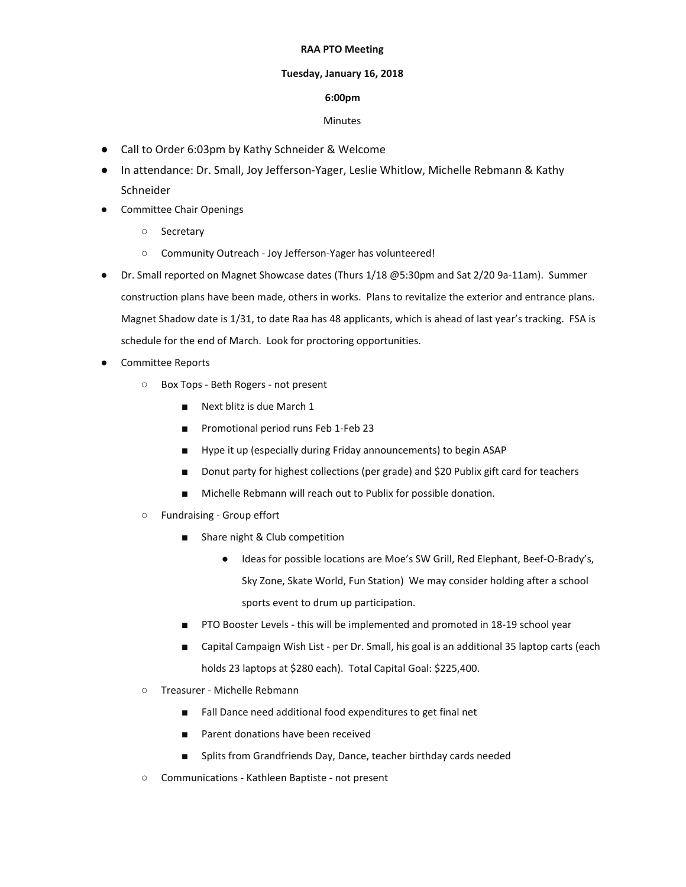## **RAA PTO Meeting**

## **Tuesday, January 16, 2018**

## **6:00pm**

## Minutes

- Call to Order 6:03pm by Kathy Schneider & Welcome
- In attendance: Dr. Small, Joy Jefferson-Yager, Leslie Whitlow, Michelle Rebmann & Kathy Schneider
- Committee Chair Openings
	- Secretary
	- Community Outreach Joy Jefferson-Yager has volunteered!
- Dr. Small reported on Magnet Showcase dates (Thurs 1/18 @5:30pm and Sat 2/20 9a-11am). Summer construction plans have been made, others in works. Plans to revitalize the exterior and entrance plans. Magnet Shadow date is 1/31, to date Raa has 48 applicants, which is ahead of last year's tracking. FSA is schedule for the end of March. Look for proctoring opportunities.
- Committee Reports
	- Box Tops Beth Rogers not present
		- Next blitz is due March 1
		- Promotional period runs Feb 1-Feb 23
		- Hype it up (especially during Friday announcements) to begin ASAP
		- Donut party for highest collections (per grade) and \$20 Publix gift card for teachers
		- Michelle Rebmann will reach out to Publix for possible donation.
	- Fundraising Group effort
		- Share night & Club competition
			- Ideas for possible locations are Moe's SW Grill, Red Elephant, Beef-O-Brady's, Sky Zone, Skate World, Fun Station) We may consider holding after a school sports event to drum up participation.
		- PTO Booster Levels this will be implemented and promoted in 18-19 school year
		- Capital Campaign Wish List per Dr. Small, his goal is an additional 35 laptop carts (each holds 23 laptops at \$280 each). Total Capital Goal: \$225,400.
	- Treasurer Michelle Rebmann
		- Fall Dance need additional food expenditures to get final net
		- Parent donations have been received
		- Splits from Grandfriends Day, Dance, teacher birthday cards needed
	- Communications Kathleen Baptiste not present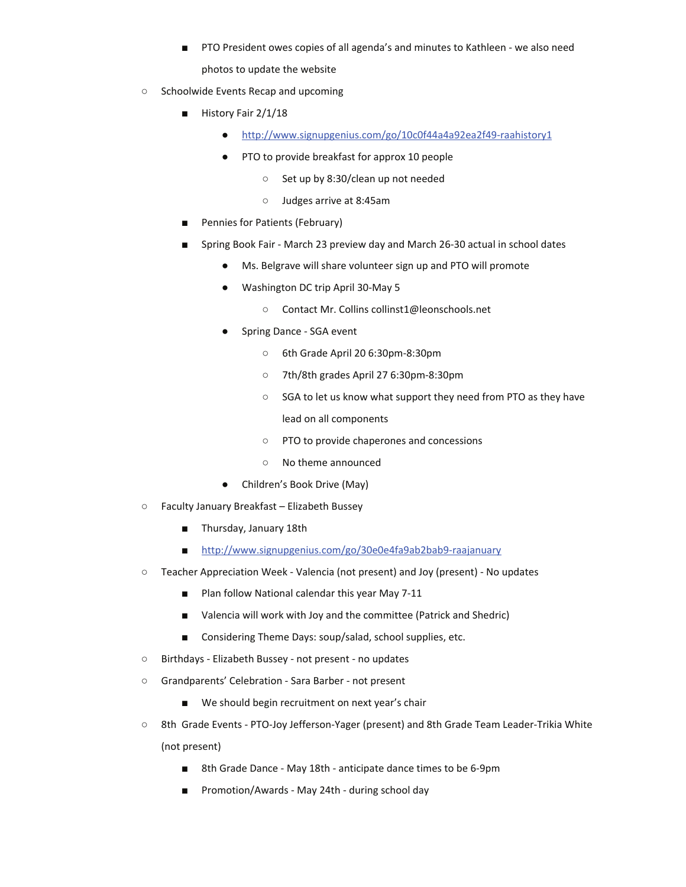- PTO President owes copies of all agenda's and minutes to Kathleen we also need photos to update the website
- Schoolwide Events Recap and upcoming
	- History Fair 2/1/18
		- http://www.signupgenius.com/go/10c0f44a4a92ea2f49-raahistory1
		- PTO to provide breakfast for approx 10 people
			- Set up by 8:30/clean up not needed
			- Judges arrive at 8:45am
	- Pennies for Patients (February)
	- Spring Book Fair March 23 preview day and March 26-30 actual in school dates
		- Ms. Belgrave will share volunteer sign up and PTO will promote
		- Washington DC trip April 30-May 5
			- Contact Mr. Collins collinst1@leonschools.net
		- Spring Dance SGA event
			- 6th Grade April 20 6:30pm-8:30pm
			- 7th/8th grades April 27 6:30pm-8:30pm
			- SGA to let us know what support they need from PTO as they have lead on all components
			- PTO to provide chaperones and concessions
			- No theme announced
		- Children's Book Drive (May)
- Faculty January Breakfast Elizabeth Bussey
	- Thursday, January 18th
	- http://www.signupgenius.com/go/30e0e4fa9ab2bab9-raajanuary
- Teacher Appreciation Week Valencia (not present) and Joy (present) No updates
	- Plan follow National calendar this year May 7-11
	- Valencia will work with Joy and the committee (Patrick and Shedric)
	- Considering Theme Days: soup/salad, school supplies, etc.
- Birthdays Elizabeth Bussey not present no updates
- Grandparents' Celebration Sara Barber not present
	- We should begin recruitment on next year's chair
- 8th Grade Events PTO-Joy Jefferson-Yager (present) and 8th Grade Team Leader-Trikia White (not present)
	- 8th Grade Dance May 18th anticipate dance times to be 6-9pm
	- Promotion/Awards May 24th during school day